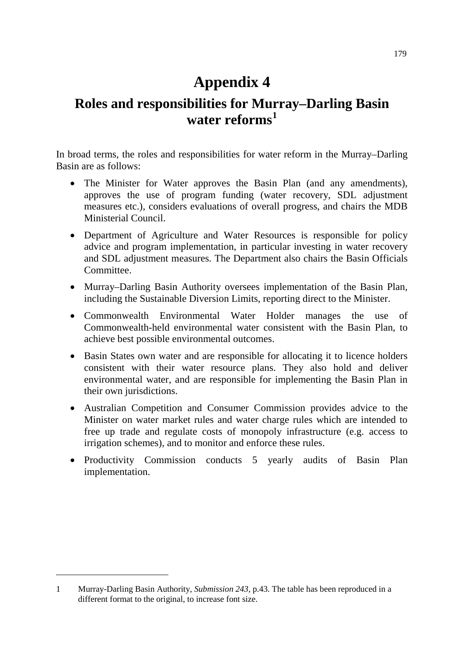## **Appendix 4**

## **Roles and responsibilities for Murray–Darling Basin water reforms[1](#page-0-0)**

In broad terms, the roles and responsibilities for water reform in the Murray–Darling Basin are as follows:

- The Minister for Water approves the Basin Plan (and any amendments), approves the use of program funding (water recovery, SDL adjustment measures etc.), considers evaluations of overall progress, and chairs the MDB Ministerial Council.
- Department of Agriculture and Water Resources is responsible for policy advice and program implementation, in particular investing in water recovery and SDL adjustment measures. The Department also chairs the Basin Officials Committee.
- Murray–Darling Basin Authority oversees implementation of the Basin Plan, including the Sustainable Diversion Limits, reporting direct to the Minister.
- Commonwealth Environmental Water Holder manages the use of Commonwealth-held environmental water consistent with the Basin Plan, to achieve best possible environmental outcomes.
- Basin States own water and are responsible for allocating it to licence holders consistent with their water resource plans. They also hold and deliver environmental water, and are responsible for implementing the Basin Plan in their own jurisdictions.
- Australian Competition and Consumer Commission provides advice to the Minister on water market rules and water charge rules which are intended to free up trade and regulate costs of monopoly infrastructure (e.g. access to irrigation schemes), and to monitor and enforce these rules.
- Productivity Commission conducts 5 yearly audits of Basin Plan implementation.

-

<span id="page-0-0"></span><sup>1</sup> Murray-Darling Basin Authority, *Submission 243,* p.43. The table has been reproduced in a different format to the original, to increase font size.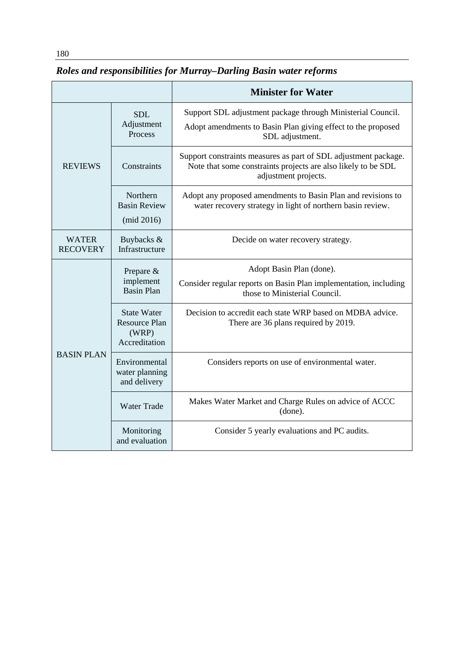## *Roles and responsibilities for Murray–Darling Basin water reforms*

|                                 |                                                                      | <b>Minister for Water</b>                                                                                                                                |
|---------------------------------|----------------------------------------------------------------------|----------------------------------------------------------------------------------------------------------------------------------------------------------|
| <b>REVIEWS</b>                  | <b>SDL</b><br>Adjustment<br>Process                                  | Support SDL adjustment package through Ministerial Council.<br>Adopt amendments to Basin Plan giving effect to the proposed<br>SDL adjustment.           |
|                                 | Constraints                                                          | Support constraints measures as part of SDL adjustment package.<br>Note that some constraints projects are also likely to be SDL<br>adjustment projects. |
|                                 | Northern<br><b>Basin Review</b><br>(mid 2016)                        | Adopt any proposed amendments to Basin Plan and revisions to<br>water recovery strategy in light of northern basin review.                               |
| <b>WATER</b><br><b>RECOVERY</b> | Buybacks &<br>Infrastructure                                         | Decide on water recovery strategy.                                                                                                                       |
| <b>BASIN PLAN</b>               | Prepare &<br>implement<br><b>Basin Plan</b>                          | Adopt Basin Plan (done).<br>Consider regular reports on Basin Plan implementation, including<br>those to Ministerial Council.                            |
|                                 | <b>State Water</b><br><b>Resource Plan</b><br>(WRP)<br>Accreditation | Decision to accredit each state WRP based on MDBA advice.<br>There are 36 plans required by 2019.                                                        |
|                                 | Environmental<br>water planning<br>and delivery                      | Considers reports on use of environmental water.                                                                                                         |
|                                 | <b>Water Trade</b>                                                   | Makes Water Market and Charge Rules on advice of ACCC<br>(done).                                                                                         |
|                                 | Monitoring<br>and evaluation                                         | Consider 5 yearly evaluations and PC audits.                                                                                                             |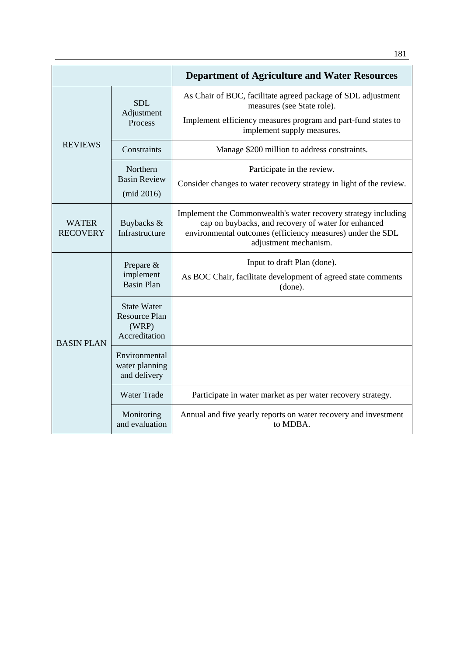|                                 |                                                                      | <b>Department of Agriculture and Water Resources</b>                                                                                                                                                         |
|---------------------------------|----------------------------------------------------------------------|--------------------------------------------------------------------------------------------------------------------------------------------------------------------------------------------------------------|
| <b>REVIEWS</b>                  | <b>SDL</b><br>Adjustment<br>Process                                  | As Chair of BOC, facilitate agreed package of SDL adjustment<br>measures (see State role).                                                                                                                   |
|                                 |                                                                      | Implement efficiency measures program and part-fund states to<br>implement supply measures.                                                                                                                  |
|                                 | Constraints                                                          | Manage \$200 million to address constraints.                                                                                                                                                                 |
|                                 | Northern<br><b>Basin Review</b><br>(mid 2016)                        | Participate in the review.<br>Consider changes to water recovery strategy in light of the review.                                                                                                            |
| <b>WATER</b><br><b>RECOVERY</b> | Buybacks &<br>Infrastructure                                         | Implement the Commonwealth's water recovery strategy including<br>cap on buybacks, and recovery of water for enhanced<br>environmental outcomes (efficiency measures) under the SDL<br>adjustment mechanism. |
| <b>BASIN PLAN</b>               | Prepare $&$<br>implement<br><b>Basin Plan</b>                        | Input to draft Plan (done).<br>As BOC Chair, facilitate development of agreed state comments<br>(done).                                                                                                      |
|                                 | <b>State Water</b><br><b>Resource Plan</b><br>(WRP)<br>Accreditation |                                                                                                                                                                                                              |
|                                 | Environmental<br>water planning<br>and delivery                      |                                                                                                                                                                                                              |
|                                 | <b>Water Trade</b>                                                   | Participate in water market as per water recovery strategy.                                                                                                                                                  |
|                                 | Monitoring<br>and evaluation                                         | Annual and five yearly reports on water recovery and investment<br>to MDBA.                                                                                                                                  |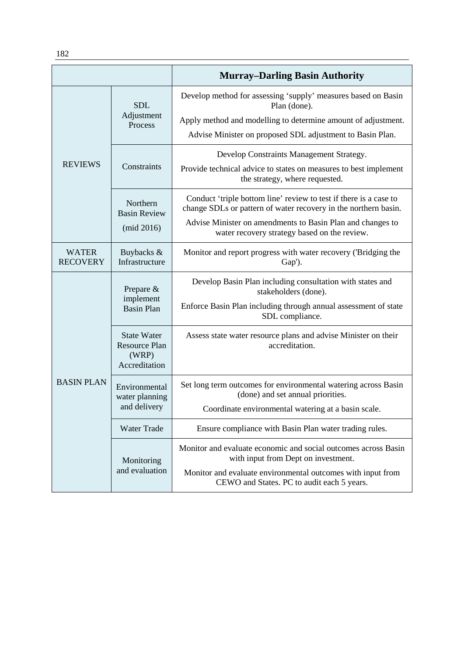|                                 |                                                               | <b>Murray-Darling Basin Authority</b>                                                                                                                                                                                                              |
|---------------------------------|---------------------------------------------------------------|----------------------------------------------------------------------------------------------------------------------------------------------------------------------------------------------------------------------------------------------------|
| <b>REVIEWS</b>                  | <b>SDL</b><br>Adjustment<br>Process                           | Develop method for assessing 'supply' measures based on Basin<br>Plan (done).<br>Apply method and modelling to determine amount of adjustment.<br>Advise Minister on proposed SDL adjustment to Basin Plan.                                        |
|                                 | Constraints                                                   | Develop Constraints Management Strategy.<br>Provide technical advice to states on measures to best implement<br>the strategy, where requested.                                                                                                     |
|                                 | Northern<br><b>Basin Review</b><br>(mid 2016)                 | Conduct 'triple bottom line' review to test if there is a case to<br>change SDLs or pattern of water recovery in the northern basin.<br>Advise Minister on amendments to Basin Plan and changes to<br>water recovery strategy based on the review. |
| <b>WATER</b><br><b>RECOVERY</b> | Buybacks &<br>Infrastructure                                  | Monitor and report progress with water recovery ('Bridging the<br>Gap').                                                                                                                                                                           |
| <b>BASIN PLAN</b>               | Prepare $\&$<br>implement<br><b>Basin Plan</b>                | Develop Basin Plan including consultation with states and<br>stakeholders (done).<br>Enforce Basin Plan including through annual assessment of state<br>SDL compliance.                                                                            |
|                                 | <b>State Water</b><br>Resource Plan<br>(WRP)<br>Accreditation | Assess state water resource plans and advise Minister on their<br>accreditation.                                                                                                                                                                   |
|                                 | Environmental<br>water planning<br>and delivery               | Set long term outcomes for environmental watering across Basin<br>(done) and set annual priorities.<br>Coordinate environmental watering at a basin scale.                                                                                         |
|                                 | <b>Water Trade</b>                                            | Ensure compliance with Basin Plan water trading rules.                                                                                                                                                                                             |
|                                 | Monitoring<br>and evaluation                                  | Monitor and evaluate economic and social outcomes across Basin<br>with input from Dept on investment.<br>Monitor and evaluate environmental outcomes with input from<br>CEWO and States. PC to audit each 5 years.                                 |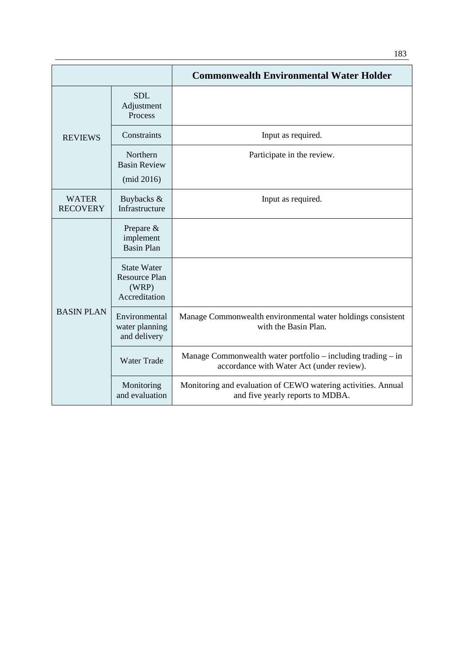|                                 |                                                                      | <b>Commonwealth Environmental Water Holder</b>                                                            |
|---------------------------------|----------------------------------------------------------------------|-----------------------------------------------------------------------------------------------------------|
| <b>REVIEWS</b>                  | <b>SDL</b><br>Adjustment<br>Process                                  |                                                                                                           |
|                                 | Constraints                                                          | Input as required.                                                                                        |
|                                 | Northern<br><b>Basin Review</b><br>(mid 2016)                        | Participate in the review.                                                                                |
| <b>WATER</b><br><b>RECOVERY</b> | Buybacks &<br>Infrastructure                                         | Input as required.                                                                                        |
| <b>BASIN PLAN</b>               | Prepare &<br>implement<br><b>Basin Plan</b>                          |                                                                                                           |
|                                 | <b>State Water</b><br><b>Resource Plan</b><br>(WRP)<br>Accreditation |                                                                                                           |
|                                 | Environmental<br>water planning<br>and delivery                      | Manage Commonwealth environmental water holdings consistent<br>with the Basin Plan.                       |
|                                 | <b>Water Trade</b>                                                   | Manage Commonwealth water portfolio – including trading – in<br>accordance with Water Act (under review). |
|                                 | Monitoring<br>and evaluation                                         | Monitoring and evaluation of CEWO watering activities. Annual<br>and five yearly reports to MDBA.         |